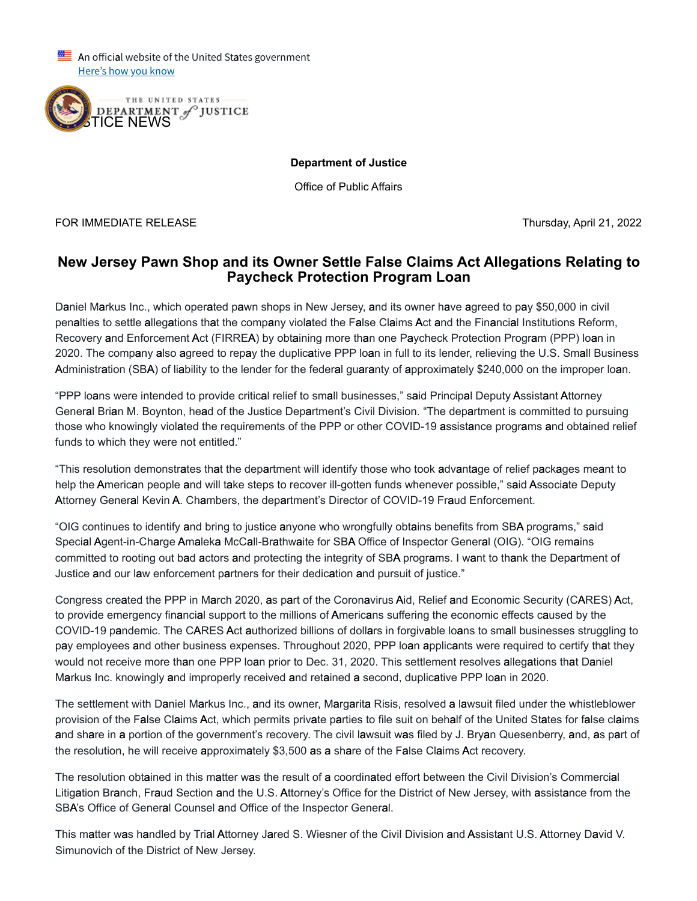An official website of the United States government Here's how you know



**Department of Justice**

Office of Public Affairs

FOR IMMEDIATE RELEASE Thursday, April 21, 2022

## **New Jersey Pawn Shop and its Owner Settle False Claims Act Allegations Relating to Paycheck Protection Program Loan**

Daniel Markus Inc., which operated pawn shops in New Jersey, and its owner have agreed to pay \$50,000 in civil penalties to settle allegations that the company violated the False Claims Act and the Financial Institutions Reform, Recovery and Enforcement Act (FIRREA) by obtaining more than one Paycheck Protection Program (PPP) loan in 2020. The company also agreed to repay the duplicative PPP loan in full to its lender, relieving the U.S. Small Business Administration (SBA) of liability to the lender for the federal guaranty of approximately \$240,000 on the improper loan.

"PPP loans were intended to provide critical relief to small businesses," said Principal Deputy Assistant Attorney General Brian M. Boynton, head of the Justice Department's Civil Division. "The department is committed to pursuing those who knowingly violated the requirements of the PPP or other COVID-19 assistance programs and obtained relief funds to which they were not entitled."

"This resolution demonstrates that the department will identify those who took advantage of relief packages meant to help the American people and will take steps to recover ill-gotten funds whenever possible," said Associate Deputy Attorney General Kevin A. Chambers, the department's Director of COVID-19 Fraud Enforcement.

"OIG continues to identify and bring to justice anyone who wrongfully obtains benefits from SBA programs," said Special Agent-in-Charge Amaleka McCall-Brathwaite for SBA Office of Inspector General (OIG). "OIG remains committed to rooting out bad actors and protecting the integrity of SBA programs. I want to thank the Department of Justice and our law enforcement partners for their dedication and pursuit of justice."

Congress created the PPP in March 2020, as part of the Coronavirus Aid, Relief and Economic Security (CARES) Act, to provide emergency financial support to the millions of Americans suffering the economic effects caused by the COVID-19 pandemic. The CARES Act authorized billions of dollars in forgivable loans to small businesses struggling to pay employees and other business expenses. Throughout 2020, PPP loan applicants were required to certify that they would not receive more than one PPP loan prior to Dec. 31, 2020. This settlement resolves allegations that Daniel Markus Inc. knowingly and improperly received and retained a second, duplicative PPP loan in 2020.

The settlement with Daniel Markus Inc., and its owner, Margarita Risis, resolved a lawsuit filed under the whistleblower provision of the False Claims Act, which permits private parties to file suit on behalf of the United States for false claims and share in a portion of the government's recovery. The civil lawsuit was filed by J. Bryan Quesenberry, and, as part of the resolution, he will receive approximately \$3,500 as a share of the False Claims Act recovery.

The resolution obtained in this matter was the result of a coordinated effort between the Civil Division's Commercial Litigation Branch, Fraud Section and the U.S. Attorney's Office for the District of New Jersey, with assistance from the SBA's Office of General Counsel and Office of the Inspector General.

This matter was handled by Trial Attorney Jared S. Wiesner of the Civil Division and Assistant U.S. Attorney David V. Simunovich of the District of New Jersey.